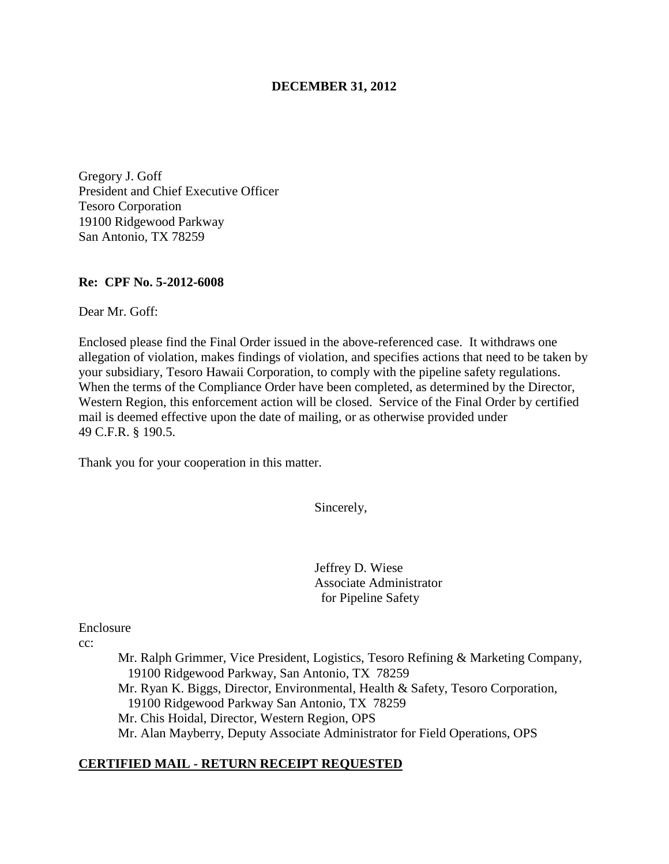### **DECEMBER 31, 2012**

Gregory J. Goff President and Chief Executive Officer Tesoro Corporation 19100 Ridgewood Parkway San Antonio, TX 78259

#### **Re: CPF No. 5-2012-6008**

Dear Mr. Goff:

Enclosed please find the Final Order issued in the above-referenced case. It withdraws one allegation of violation, makes findings of violation, and specifies actions that need to be taken by your subsidiary, Tesoro Hawaii Corporation, to comply with the pipeline safety regulations. When the terms of the Compliance Order have been completed, as determined by the Director, Western Region, this enforcement action will be closed. Service of the Final Order by certified mail is deemed effective upon the date of mailing, or as otherwise provided under 49 C.F.R. § 190.5.

Thank you for your cooperation in this matter.

Sincerely,

Jeffrey D. Wiese Associate Administrator for Pipeline Safety

Enclosure

cc:

Mr. Ralph Grimmer, Vice President, Logistics, Tesoro Refining & Marketing Company, 19100 Ridgewood Parkway, San Antonio, TX 78259 Mr. Ryan K. Biggs, Director, Environmental, Health & Safety, Tesoro Corporation, 19100 Ridgewood Parkway San Antonio, TX 78259 Mr. Chis Hoidal, Director, Western Region, OPS Mr. Alan Mayberry, Deputy Associate Administrator for Field Operations, OPS

### **CERTIFIED MAIL - RETURN RECEIPT REQUESTED**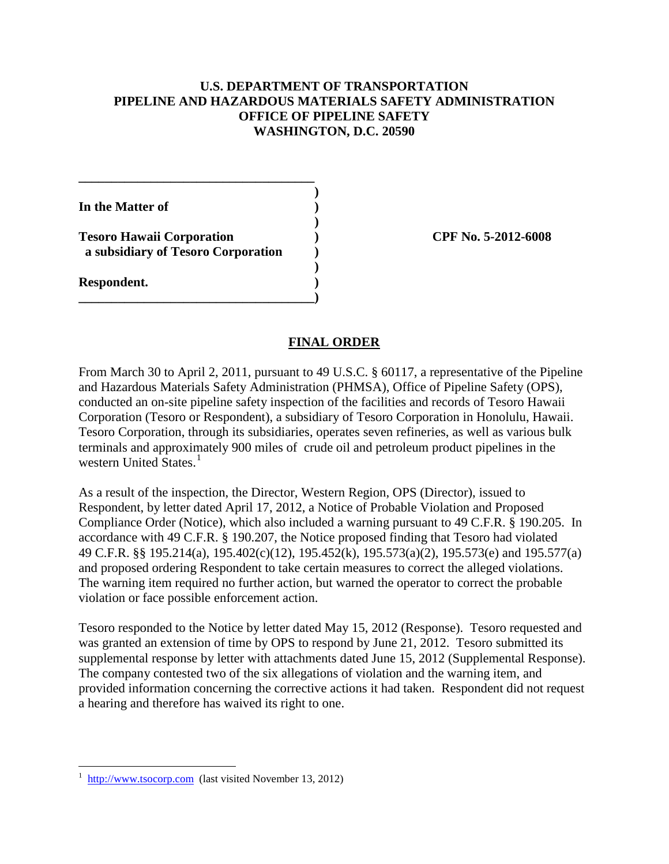# **U.S. DEPARTMENT OF TRANSPORTATION PIPELINE AND HAZARDOUS MATERIALS SAFETY ADMINISTRATION OFFICE OF PIPELINE SAFETY WASHINGTON, D.C. 20590**

**In the Matter of )** 

**Tesoro Hawaii Corporation ) CPF No. 5-2012-6008 a subsidiary of Tesoro Corporation )** 

**\_\_\_\_\_\_\_\_\_\_\_\_\_\_\_\_\_\_\_\_\_\_\_\_\_\_\_\_\_\_\_\_\_\_\_\_ )** 

 **)** 

 **)** 

**\_\_\_\_\_\_\_\_\_\_\_\_\_\_\_\_\_\_\_\_\_\_\_\_\_\_\_\_\_\_\_\_\_\_\_\_)** 

**Respondent. )** 

 $\overline{a}$ 

# **FINAL ORDER**

From March 30 to April 2, 2011, pursuant to 49 U.S.C. § 60117, a representative of the Pipeline and Hazardous Materials Safety Administration (PHMSA), Office of Pipeline Safety (OPS), conducted an on-site pipeline safety inspection of the facilities and records of Tesoro Hawaii Corporation (Tesoro or Respondent), a subsidiary of Tesoro Corporation in Honolulu, Hawaii. Tesoro Corporation, through its subsidiaries, operates seven refineries, as well as various bulk terminals and approximately 900 miles of crude oil and petroleum product pipelines in the western United States.<sup>1</sup>

As a result of the inspection, the Director, Western Region, OPS (Director), issued to Respondent, by letter dated April 17, 2012, a Notice of Probable Violation and Proposed Compliance Order (Notice), which also included a warning pursuant to 49 C.F.R. § 190.205. In accordance with 49 C.F.R. § 190.207, the Notice proposed finding that Tesoro had violated 49 C.F.R. §§ 195.214(a), 195.402(c)(12), 195.452(k), 195.573(a)(2), 195.573(e) and 195.577(a) and proposed ordering Respondent to take certain measures to correct the alleged violations. The warning item required no further action, but warned the operator to correct the probable violation or face possible enforcement action.

Tesoro responded to the Notice by letter dated May 15, 2012 (Response). Tesoro requested and was granted an extension of time by OPS to respond by June 21, 2012. Tesoro submitted its supplemental response by letter with attachments dated June 15, 2012 (Supplemental Response). The company contested two of the six allegations of violation and the warning item, and provided information concerning the corrective actions it had taken. Respondent did not request a hearing and therefore has waived its right to one.

<sup>1</sup> http://www.tsocorp.com (last visited November 13, 2012)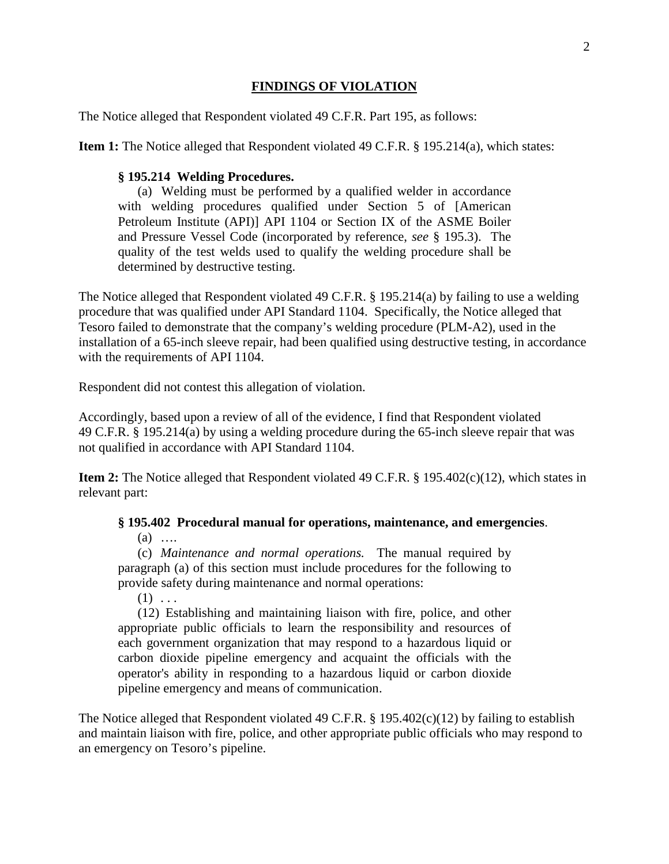# **FINDINGS OF VIOLATION**

The Notice alleged that Respondent violated 49 C.F.R. Part 195, as follows:

**Item 1:** The Notice alleged that Respondent violated 49 C.F.R. § 195.214(a), which states:

#### **§ 195.214 Welding Procedures.**

(a) Welding must be performed by a qualified welder in accordance with welding procedures qualified under Section 5 of [American Petroleum Institute (API)] API 1104 or Section IX of the ASME Boiler and Pressure Vessel Code (incorporated by reference, *see* § 195.3). The quality of the test welds used to qualify the welding procedure shall be determined by destructive testing.

The Notice alleged that Respondent violated 49 C.F.R. § 195.214(a) by failing to use a welding procedure that was qualified under API Standard 1104. Specifically, the Notice alleged that Tesoro failed to demonstrate that the company's welding procedure (PLM-A2), used in the installation of a 65-inch sleeve repair, had been qualified using destructive testing, in accordance with the requirements of API 1104.

Respondent did not contest this allegation of violation.

Accordingly, based upon a review of all of the evidence, I find that Respondent violated 49 C.F.R. § 195.214(a) by using a welding procedure during the 65-inch sleeve repair that was not qualified in accordance with API Standard 1104.

**Item 2:** The Notice alleged that Respondent violated 49 C.F.R. § 195.402(c)(12), which states in relevant part:

**§ 195.402 Procedural manual for operations, maintenance, and emergencies**.

 $(a)$  …

(c) *Maintenance and normal operations.* The manual required by paragraph (a) of this section must include procedures for the following to provide safety during maintenance and normal operations:

 $(1)$  ...

(12) Establishing and maintaining liaison with fire, police, and other appropriate public officials to learn the responsibility and resources of each government organization that may respond to a hazardous liquid or carbon dioxide pipeline emergency and acquaint the officials with the operator's ability in responding to a hazardous liquid or carbon dioxide pipeline emergency and means of communication.

The Notice alleged that Respondent violated 49 C.F.R. § 195.402(c)(12) by failing to establish and maintain liaison with fire, police, and other appropriate public officials who may respond to an emergency on Tesoro's pipeline.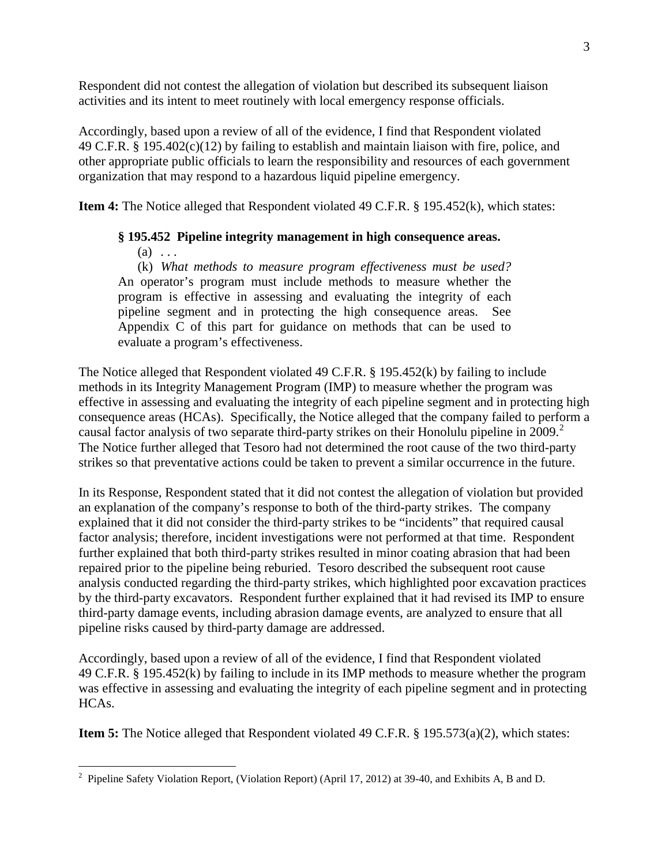Respondent did not contest the allegation of violation but described its subsequent liaison activities and its intent to meet routinely with local emergency response officials.

Accordingly, based upon a review of all of the evidence, I find that Respondent violated 49 C.F.R. § 195.402(c)(12) by failing to establish and maintain liaison with fire, police, and other appropriate public officials to learn the responsibility and resources of each government organization that may respond to a hazardous liquid pipeline emergency.

**Item 4:** The Notice alleged that Respondent violated 49 C.F.R. § 195.452(k), which states:

# **§ 195.452 Pipeline integrity management in high consequence areas.**

 $(a) \ldots$ 

(k) *What methods to measure program effectiveness must be used?* An operator's program must include methods to measure whether the program is effective in assessing and evaluating the integrity of each pipeline segment and in protecting the high consequence areas. See Appendix C of this part for guidance on methods that can be used to evaluate a program's effectiveness.

The Notice alleged that Respondent violated 49 C.F.R. § 195.452(k) by failing to include methods in its Integrity Management Program (IMP) to measure whether the program was effective in assessing and evaluating the integrity of each pipeline segment and in protecting high consequence areas (HCAs). Specifically, the Notice alleged that the company failed to perform a causal factor analysis of two separate third-party strikes on their Honolulu pipeline in 2009.<sup>2</sup> The Notice further alleged that Tesoro had not determined the root cause of the two third-party strikes so that preventative actions could be taken to prevent a similar occurrence in the future.

In its Response, Respondent stated that it did not contest the allegation of violation but provided an explanation of the company's response to both of the third-party strikes. The company explained that it did not consider the third-party strikes to be "incidents" that required causal factor analysis; therefore, incident investigations were not performed at that time. Respondent further explained that both third-party strikes resulted in minor coating abrasion that had been repaired prior to the pipeline being reburied. Tesoro described the subsequent root cause analysis conducted regarding the third-party strikes, which highlighted poor excavation practices by the third-party excavators. Respondent further explained that it had revised its IMP to ensure third-party damage events, including abrasion damage events, are analyzed to ensure that all pipeline risks caused by third-party damage are addressed.

Accordingly, based upon a review of all of the evidence, I find that Respondent violated 49 C.F.R. § 195.452(k) by failing to include in its IMP methods to measure whether the program was effective in assessing and evaluating the integrity of each pipeline segment and in protecting HCAs.

**Item 5:** The Notice alleged that Respondent violated 49 C.F.R. § 195.573(a)(2), which states:

<sup>&</sup>lt;sup>2</sup> Pipeline Safety Violation Report, (Violation Report) (April 17, 2012) at 39-40, and Exhibits A, B and D.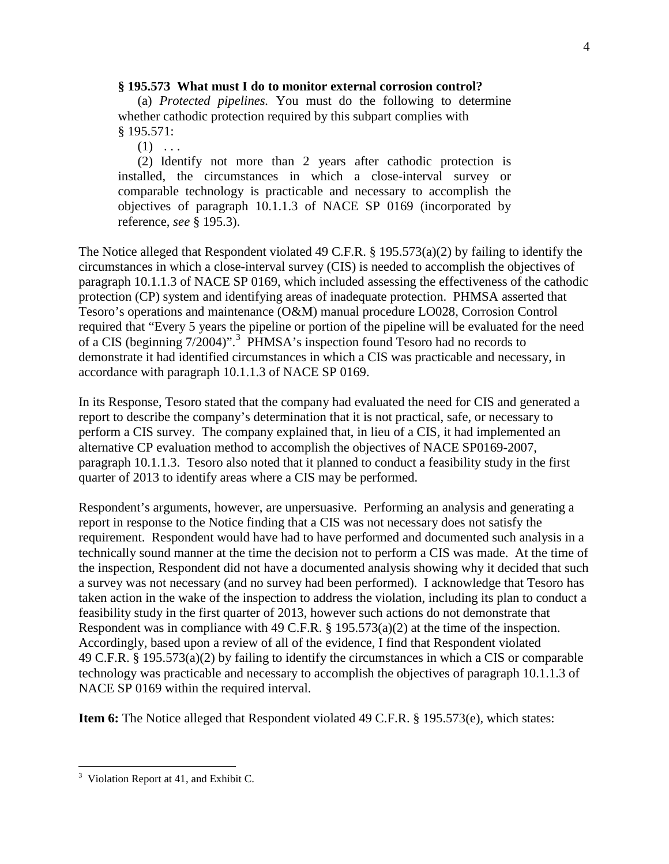#### **§ 195.573 What must I do to monitor external corrosion control?**

(a) *Protected pipelines.* You must do the following to determine whether cathodic protection required by this subpart complies with § 195.571:

 $(1) \ldots$ 

(2) Identify not more than 2 years after cathodic protection is installed, the circumstances in which a close-interval survey or comparable technology is practicable and necessary to accomplish the objectives of paragraph 10.1.1.3 of NACE SP 0169 (incorporated by reference, *see* § 195.3).

The Notice alleged that Respondent violated 49 C.F.R. § 195.573(a)(2) by failing to identify the circumstances in which a close-interval survey (CIS) is needed to accomplish the objectives of paragraph 10.1.1.3 of NACE SP 0169, which included assessing the effectiveness of the cathodic protection (CP) system and identifying areas of inadequate protection. PHMSA asserted that Tesoro's operations and maintenance (O&M) manual procedure LO028, Corrosion Control required that "Every 5 years the pipeline or portion of the pipeline will be evaluated for the need of a CIS (beginning 7/2004)".<sup>3</sup> PHMSA's inspection found Tesoro had no records to demonstrate it had identified circumstances in which a CIS was practicable and necessary, in accordance with paragraph 10.1.1.3 of NACE SP 0169.

In its Response, Tesoro stated that the company had evaluated the need for CIS and generated a report to describe the company's determination that it is not practical, safe, or necessary to perform a CIS survey. The company explained that, in lieu of a CIS, it had implemented an alternative CP evaluation method to accomplish the objectives of NACE SP0169-2007, paragraph 10.1.1.3. Tesoro also noted that it planned to conduct a feasibility study in the first quarter of 2013 to identify areas where a CIS may be performed.

Respondent's arguments, however, are unpersuasive. Performing an analysis and generating a report in response to the Notice finding that a CIS was not necessary does not satisfy the requirement. Respondent would have had to have performed and documented such analysis in a technically sound manner at the time the decision not to perform a CIS was made. At the time of the inspection, Respondent did not have a documented analysis showing why it decided that such a survey was not necessary (and no survey had been performed). I acknowledge that Tesoro has taken action in the wake of the inspection to address the violation, including its plan to conduct a feasibility study in the first quarter of 2013, however such actions do not demonstrate that Respondent was in compliance with 49 C.F.R. § 195.573(a)(2) at the time of the inspection. Accordingly, based upon a review of all of the evidence, I find that Respondent violated 49 C.F.R. § 195.573(a)(2) by failing to identify the circumstances in which a CIS or comparable technology was practicable and necessary to accomplish the objectives of paragraph 10.1.1.3 of NACE SP 0169 within the required interval.

**Item 6:** The Notice alleged that Respondent violated 49 C.F.R. § 195.573(e), which states:

 $\overline{a}$ 

 $3$  Violation Report at 41, and Exhibit C.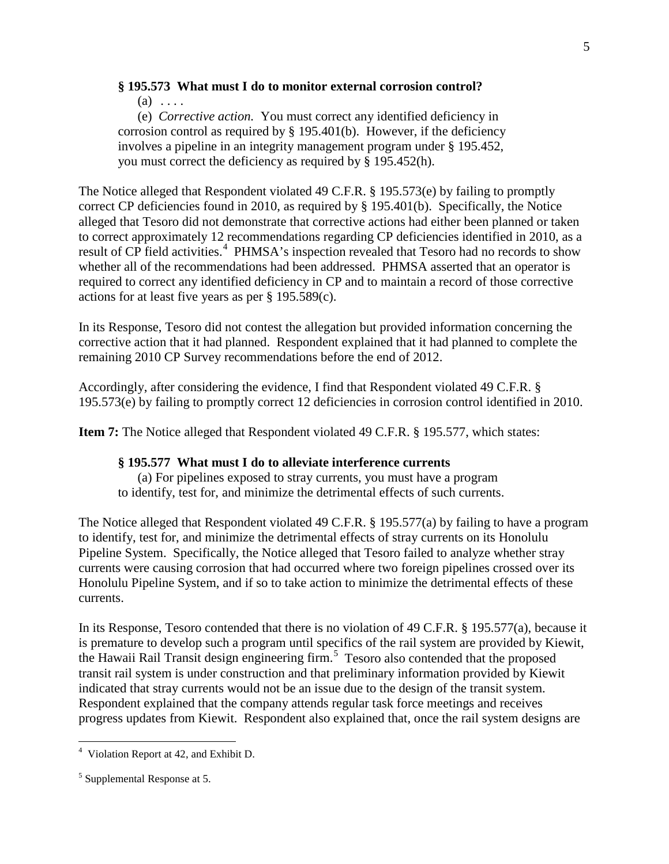# **§ 195.573 What must I do to monitor external corrosion control?**

 $(a) \ldots$ 

(e) *Corrective action.* You must correct any identified deficiency in corrosion control as required by  $\S$  195.401(b). However, if the deficiency involves a pipeline in an integrity management program under § 195.452, you must correct the deficiency as required by § 195.452(h).

The Notice alleged that Respondent violated 49 C.F.R. § 195.573(e) by failing to promptly correct CP deficiencies found in 2010, as required by § 195.401(b). Specifically, the Notice alleged that Tesoro did not demonstrate that corrective actions had either been planned or taken to correct approximately 12 recommendations regarding CP deficiencies identified in 2010, as a result of CP field activities.<sup>4</sup> PHMSA's inspection revealed that Tesoro had no records to show whether all of the recommendations had been addressed. PHMSA asserted that an operator is required to correct any identified deficiency in CP and to maintain a record of those corrective actions for at least five years as per § 195.589(c).

In its Response, Tesoro did not contest the allegation but provided information concerning the corrective action that it had planned. Respondent explained that it had planned to complete the remaining 2010 CP Survey recommendations before the end of 2012.

Accordingly, after considering the evidence, I find that Respondent violated 49 C.F.R. § 195.573(e) by failing to promptly correct 12 deficiencies in corrosion control identified in 2010.

**Item 7:** The Notice alleged that Respondent violated 49 C.F.R. § 195.577, which states:

### **§ 195.577 What must I do to alleviate interference currents**

(a) For pipelines exposed to stray currents, you must have a program to identify, test for, and minimize the detrimental effects of such currents.

The Notice alleged that Respondent violated 49 C.F.R. § 195.577(a) by failing to have a program to identify, test for, and minimize the detrimental effects of stray currents on its Honolulu Pipeline System. Specifically, the Notice alleged that Tesoro failed to analyze whether stray currents were causing corrosion that had occurred where two foreign pipelines crossed over its Honolulu Pipeline System, and if so to take action to minimize the detrimental effects of these currents.

In its Response, Tesoro contended that there is no violation of 49 C.F.R. § 195.577(a), because it is premature to develop such a program until specifics of the rail system are provided by Kiewit, the Hawaii Rail Transit design engineering firm. 5 Tesoro also contended that the proposed transit rail system is under construction and that preliminary information provided by Kiewit indicated that stray currents would not be an issue due to the design of the transit system. Respondent explained that the company attends regular task force meetings and receives progress updates from Kiewit. Respondent also explained that, once the rail system designs are

 4 Violation Report at 42, and Exhibit D.

<sup>5</sup> Supplemental Response at 5.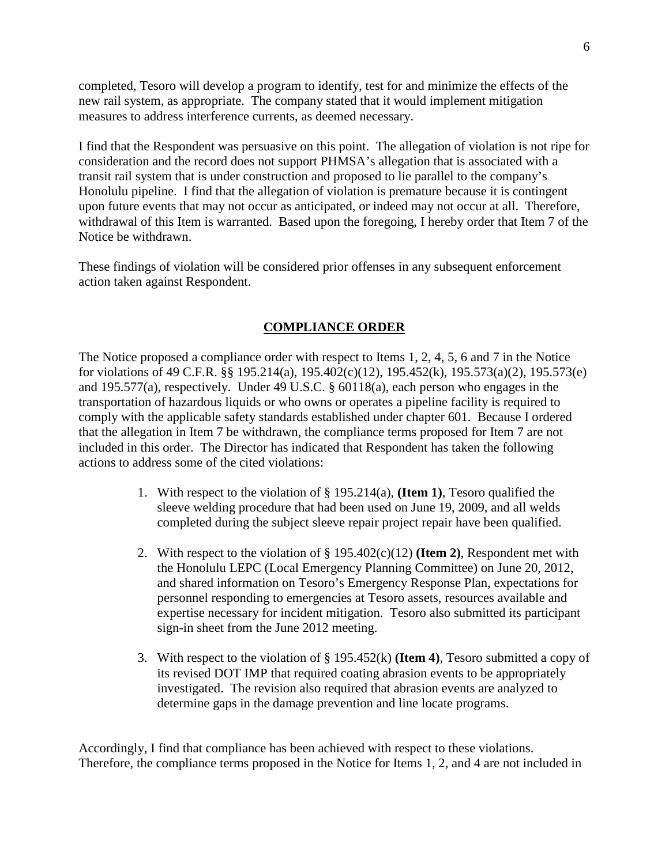completed, Tesoro will develop a program to identify, test for and minimize the effects of the new rail system, as appropriate. The company stated that it would implement mitigation measures to address interference currents, as deemed necessary.

I find that the Respondent was persuasive on this point. The allegation of violation is not ripe for consideration and the record does not support PHMSA's allegation that is associated with a transit rail system that is under construction and proposed to lie parallel to the company's Honolulu pipeline. I find that the allegation of violation is premature because it is contingent upon future events that may not occur as anticipated, or indeed may not occur at all. Therefore, withdrawal of this Item is warranted. Based upon the foregoing, I hereby order that Item 7 of the Notice be withdrawn.

These findings of violation will be considered prior offenses in any subsequent enforcement action taken against Respondent.

# **COMPLIANCE ORDER**

The Notice proposed a compliance order with respect to Items 1, 2, 4, 5, 6 and 7 in the Notice for violations of 49 C.F.R. §§ 195.214(a), 195.402(c)(12), 195.452(k), 195.573(a)(2), 195.573(e) and 195.577(a), respectively. Under 49 U.S.C. § 60118(a), each person who engages in the transportation of hazardous liquids or who owns or operates a pipeline facility is required to comply with the applicable safety standards established under chapter 601. Because I ordered that the allegation in Item 7 be withdrawn, the compliance terms proposed for Item 7 are not included in this order. The Director has indicated that Respondent has taken the following actions to address some of the cited violations:

- 1. With respect to the violation of § 195.214(a), **(Item 1)**, Tesoro qualified the sleeve welding procedure that had been used on June 19, 2009, and all welds completed during the subject sleeve repair project repair have been qualified.
- 2. With respect to the violation of § 195.402(c)(12) **(Item 2)**, Respondent met with the Honolulu LEPC (Local Emergency Planning Committee) on June 20, 2012, and shared information on Tesoro's Emergency Response Plan, expectations for personnel responding to emergencies at Tesoro assets, resources available and expertise necessary for incident mitigation. Tesoro also submitted its participant sign-in sheet from the June 2012 meeting.
- 3. With respect to the violation of § 195.452(k) **(Item 4)**, Tesoro submitted a copy of its revised DOT IMP that required coating abrasion events to be appropriately investigated. The revision also required that abrasion events are analyzed to determine gaps in the damage prevention and line locate programs.

Accordingly, I find that compliance has been achieved with respect to these violations. Therefore, the compliance terms proposed in the Notice for Items 1, 2, and 4 are not included in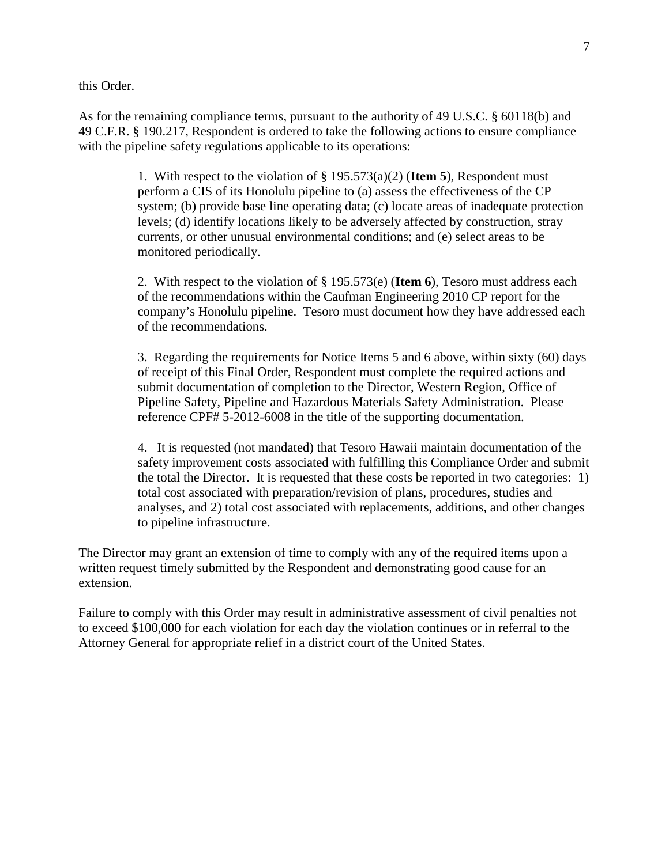this Order.

As for the remaining compliance terms, pursuant to the authority of 49 U.S.C. § 60118(b) and 49 C.F.R. § 190.217, Respondent is ordered to take the following actions to ensure compliance with the pipeline safety regulations applicable to its operations:

> 1. With respect to the violation of § 195.573(a)(2) (**Item 5**), Respondent must perform a CIS of its Honolulu pipeline to (a) assess the effectiveness of the CP system; (b) provide base line operating data; (c) locate areas of inadequate protection levels; (d) identify locations likely to be adversely affected by construction, stray currents, or other unusual environmental conditions; and (e) select areas to be monitored periodically.

> 2. With respect to the violation of § 195.573(e) (**Item 6**), Tesoro must address each of the recommendations within the Caufman Engineering 2010 CP report for the company's Honolulu pipeline. Tesoro must document how they have addressed each of the recommendations.

> 3. Regarding the requirements for Notice Items 5 and 6 above, within sixty (60) days of receipt of this Final Order, Respondent must complete the required actions and submit documentation of completion to the Director, Western Region, Office of Pipeline Safety, Pipeline and Hazardous Materials Safety Administration. Please reference CPF# 5-2012-6008 in the title of the supporting documentation.

> 4. It is requested (not mandated) that Tesoro Hawaii maintain documentation of the safety improvement costs associated with fulfilling this Compliance Order and submit the total the Director. It is requested that these costs be reported in two categories: 1) total cost associated with preparation/revision of plans, procedures, studies and analyses, and 2) total cost associated with replacements, additions, and other changes to pipeline infrastructure.

The Director may grant an extension of time to comply with any of the required items upon a written request timely submitted by the Respondent and demonstrating good cause for an extension.

Failure to comply with this Order may result in administrative assessment of civil penalties not to exceed \$100,000 for each violation for each day the violation continues or in referral to the Attorney General for appropriate relief in a district court of the United States.